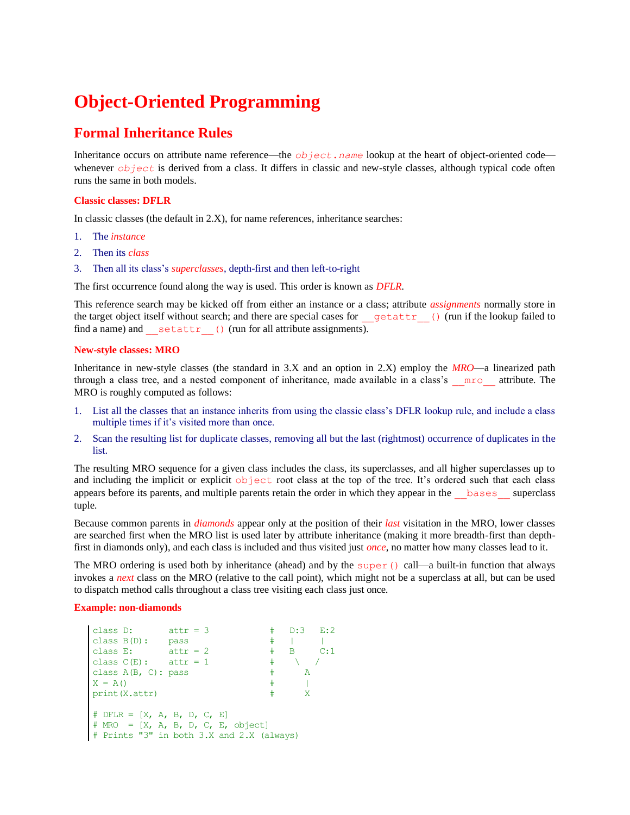# **Object-Oriented Programming**

### **Formal Inheritance Rules**

Inheritance occurs on attribute name reference—the *object*.*name* lookup at the heart of object-oriented code whenever *object* is derived from a class. It differs in classic and new-style classes, although typical code often runs the same in both models.

#### **Classic classes: DFLR**

In classic classes (the default in 2.X), for name references, inheritance searches:

- 1. The *instance*
- 2. Then its *class*
- 3. Then all its class's *superclasses*, depth-first and then left-to-right

The first occurrence found along the way is used. This order is known as *DFLR*.

This reference search may be kicked off from either an instance or a class; attribute *assignments* normally store in the target object itself without search; and there are special cases for \_\_getattr () (run if the lookup failed to find a name) and  $setattr$  () (run for all attribute assignments).

#### **New-style classes: MRO**

Inheritance in new-style classes (the standard in 3.X and an option in 2.X) employ the *MRO*—a linearized path through a class tree, and a nested component of inheritance, made available in a class's \_\_mro\_\_ attribute. The MRO is roughly computed as follows:

- 1. List all the classes that an instance inherits from using the classic class's DFLR lookup rule, and include a class multiple times if it's visited more than once.
- 2. Scan the resulting list for duplicate classes, removing all but the last (rightmost) occurrence of duplicates in the list.

The resulting MRO sequence for a given class includes the class, its superclasses, and all higher superclasses up to and including the implicit or explicit object root class at the top of the tree. It's ordered such that each class appears before its parents, and multiple parents retain the order in which they appear in the bases superclass tuple.

Because common parents in *diamonds* appear only at the position of their *last* visitation in the MRO, lower classes are searched first when the MRO list is used later by attribute inheritance (making it more breadth-first than depthfirst in diamonds only), and each class is included and thus visited just *once*, no matter how many classes lead to it.

The MRO ordering is used both by inheritance (ahead) and by the super() call—a built-in function that always invokes a *next* class on the MRO (relative to the call point), which might not be a superclass at all, but can be used to dispatch method calls throughout a class tree visiting each class just once.

#### **Example: non-diamonds**

```
class D: attr = 3 # D:3 E:2
\text{class } B(D): \text{ pass} # | |
class E: attr = 2 # B C:1class C(E): attr = 1 # \ /
class A(B, C): pass \qquad # AX = A() # |
print(X.attr) # X 
\# DFLR = [X, A, B, D, C, E]# MRO = [X, A, B, D, C, E, object]
# Prints "3" in both 3.X and 2.X (always)
```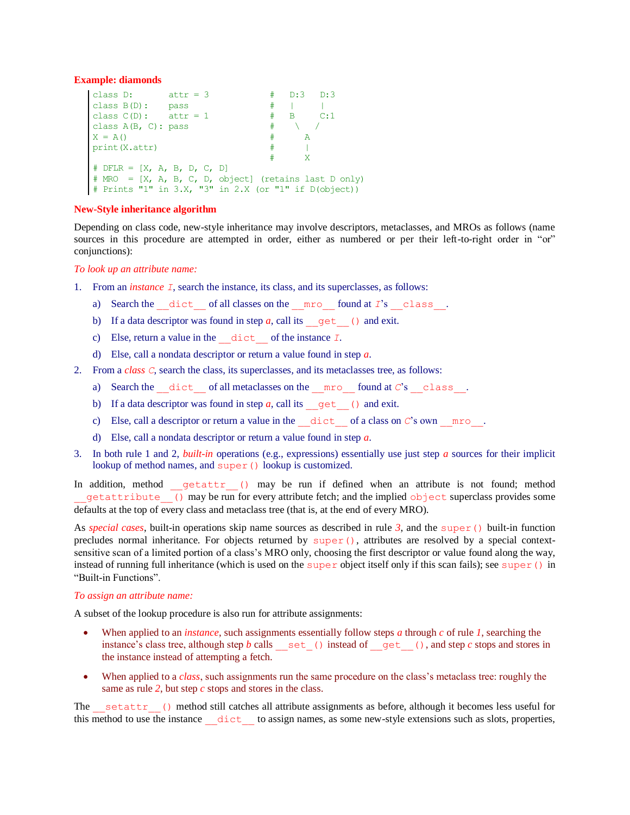#### **Example: diamonds**

```
class D: attr = 3 # D:3 D:3
\text{class } B(D): \text{ pass} # | |
class C(D): attr = 1 # B C:1class A(B, C): pass \qquad \qquad \qquad \qquad \qquad /
X = A() # A
print(X.attr) # |
 # X 
# DFLR = [X, A, B, D, C, D]# MRO = [X, A, B, C, D, object] (retains last D only)
# Prints "1" in 3.X, "3" in 2.X (or "1" if D(object))
```
#### **New-Style inheritance algorithm**

Depending on class code, new-style inheritance may involve descriptors, metaclasses, and MROs as follows (name sources in this procedure are attempted in order, either as numbered or per their left-to-right order in "or" conjunctions):

#### *To look up an attribute name:*

- 1. From an *instance I*, search the instance, its class, and its superclasses, as follows:
	- a) Search the dict of all classes on the  $\text{mro}-\text{found at } I$ 's class.
	- b) If a data descriptor was found in step  $a$ , call its  $q$ et () and exit.
	- c) Else, return a value in the \_\_dict\_\_ of the instance *I*.
	- d) Else, call a nondata descriptor or return a value found in step *a*.
- 2. From a *class C*, search the class, its superclasses, and its metaclasses tree, as follows:
	- a) Search the  $\text{dict}$  of all metaclasses on the  $\text{mro}-\text{found}$  at *C*'s class.
	- b) If a data descriptor was found in step  $a$ , call its  $q$ et () and exit.
	- c) Else, call a descriptor or return a value in the  $\text{dict}$  of a class on *C*'s own  $\text{mro}$ .
	- d) Else, call a nondata descriptor or return a value found in step *a*.
- 3. In both rule 1 and 2, *built-in* operations (e.g., expressions) essentially use just step *a* sources for their implicit lookup of method names, and super() lookup is customized.

In addition, method getattr () may be run if defined when an attribute is not found; method getattribute () may be run for every attribute fetch; and the implied object superclass provides some defaults at the top of every class and metaclass tree (that is, at the end of every MRO).

As *special cases*, built-in operations skip name sources as described in rule  $3$ , and the super() built-in function precludes normal inheritance. For objects returned by super $($ ), attributes are resolved by a special contextsensitive scan of a limited portion of a class's MRO only, choosing the first descriptor or value found along the way, instead of running full inheritance (which is used on the super object itself only if this scan fails); see super() in "Built-in Functions".

#### *To assign an attribute name:*

A subset of the lookup procedure is also run for attribute assignments:

- When applied to an *instance*, such assignments essentially follow steps *a* through *c* of rule *1*, searching the instance's class tree, although step *b* calls  $\leq$  set () instead of  $\leq$  get (), and step *c* stops and stores in the instance instead of attempting a fetch.
- When applied to a *class*, such assignments run the same procedure on the class's metaclass tree: roughly the same as rule *2*, but step *c* stops and stores in the class.

The setattr () method still catches all attribute assignments as before, although it becomes less useful for this method to use the instance dict to assign names, as some new-style extensions such as slots, properties,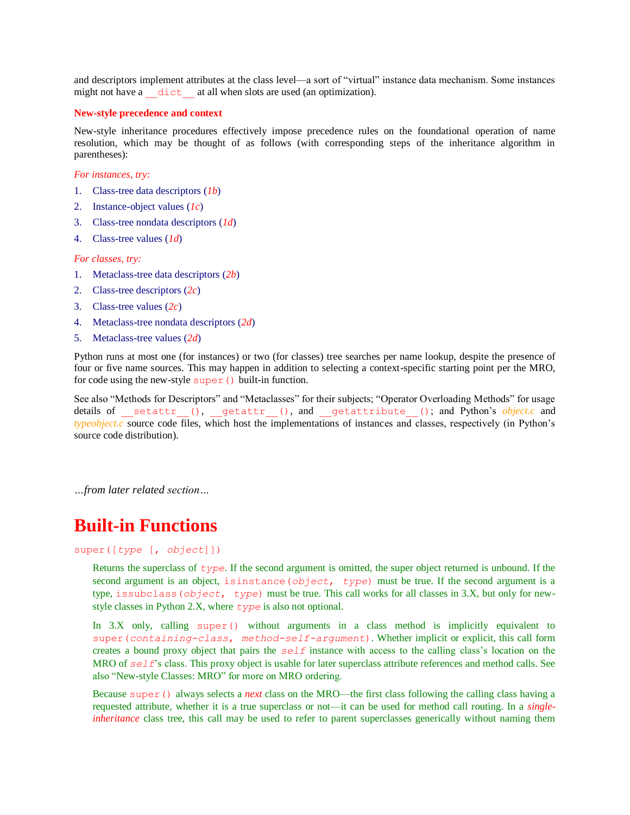and descriptors implement attributes at the class level—a sort of "virtual" instance data mechanism. Some instances might not have a  $\cdot$  dict at all when slots are used (an optimization).

#### **New-style precedence and context**

New-style inheritance procedures effectively impose precedence rules on the foundational operation of name resolution, which may be thought of as follows (with corresponding steps of the inheritance algorithm in parentheses):

*For instances, try:*

- 1. Class-tree data descriptors (*1b*)
- 2. Instance-object values (*1c*)
- 3. Class-tree nondata descriptors (*1d*)
- 4. Class-tree values (*1d*)

*For classes, try:*

- 1. Metaclass-tree data descriptors (*2b*)
- 2. Class-tree descriptors (*2c*)
- 3. Class-tree values (*2c*)
- 4. Metaclass-tree nondata descriptors (*2d*)
- 5. Metaclass-tree values (*2d*)

Python runs at most one (for instances) or two (for classes) tree searches per name lookup, despite the presence of four or five name sources. This may happen in addition to selecting a context-specific starting point per the MRO, for code using the new-style super() built-in function.

See also "Methods for Descriptors" and "Metaclasses" for their subjects; "Operator Overloading Methods" for usage details of setattr (), getattr (), and getattribute (); and Python's *object.c* and *typeobject.c* source code files, which host the implementations of instances and classes, respectively (in Python's source code distribution).

*…from later related section…*

## **Built-in Functions**

#### super([*type* [, *object*]])

Returns the superclass of *type*. If the second argument is omitted, the super object returned is unbound. If the second argument is an object, isinstance(*object*, *type*) must be true. If the second argument is a type, issubclass(*object*, *type*) must be true. This call works for all classes in 3.X, but only for newstyle classes in Python 2.X, where *type* is also not optional.

In 3.X only, calling super() without arguments in a class method is implicitly equivalent to super(*containing-class*, *method-self-argument*). Whether implicit or explicit, this call form creates a bound proxy object that pairs the *self* instance with access to the calling class's location on the MRO of *self*'s class. This proxy object is usable for later superclass attribute references and method calls. See also "New-style Classes: MRO" for more on MRO ordering.

Because super() always selects a *next* class on the MRO—the first class following the calling class having a requested attribute, whether it is a true superclass or not—it can be used for method call routing. In a *singleinheritance* class tree, this call may be used to refer to parent superclasses generically without naming them